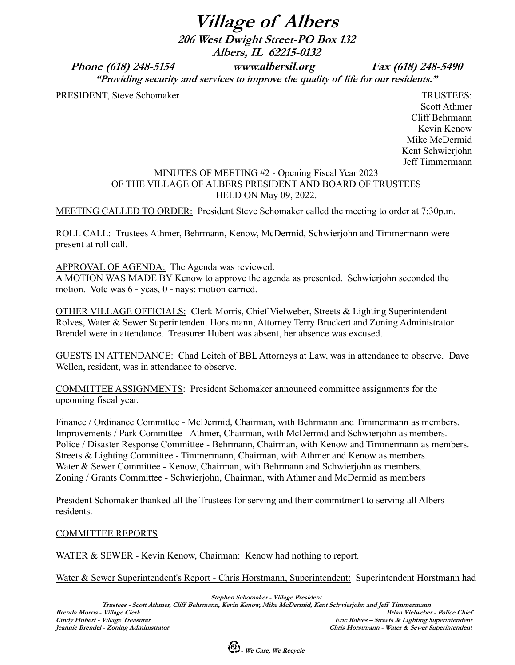**Village of Albers**

**206 West Dwight Street-PO Box 132 Albers, IL 62215-0132**

**Phone (618) 248-5154 www.***albersil.org* **Fax (618) 248-5490**

**"Providing security and services to improve the quality of life for our residents."**

PRESIDENT, Steve Schomaker TRUSTEES:

Scott Athmer Cliff Behrmann Kevin Kenow Mike McDermid Kent Schwierjohn Jeff Timmermann

# MINUTES OF MEETING #2 - Opening Fiscal Year 2023 OF THE VILLAGE OF ALBERS PRESIDENT AND BOARD OF TRUSTEES HELD ON May 09, 2022.

MEETING CALLED TO ORDER: President Steve Schomaker called the meeting to order at 7:30p.m.

ROLL CALL: Trustees Athmer, Behrmann, Kenow, McDermid, Schwierjohn and Timmermann were present at roll call.

# APPROVAL OF AGENDA: The Agenda was reviewed.

A MOTION WAS MADE BY Kenow to approve the agenda as presented. Schwierjohn seconded the motion. Vote was 6 - yeas, 0 - nays; motion carried.

OTHER VILLAGE OFFICIALS: Clerk Morris, Chief Vielweber, Streets & Lighting Superintendent Rolves, Water & Sewer Superintendent Horstmann, Attorney Terry Bruckert and Zoning Administrator Brendel were in attendance. Treasurer Hubert was absent, her absence was excused.

GUESTS IN ATTENDANCE: Chad Leitch of BBL Attorneys at Law, was in attendance to observe. Dave Wellen, resident, was in attendance to observe.

COMMITTEE ASSIGNMENTS: President Schomaker announced committee assignments for the upcoming fiscal year.

Finance / Ordinance Committee - McDermid, Chairman, with Behrmann and Timmermann as members. Improvements / Park Committee - Athmer, Chairman, with McDermid and Schwierjohn as members. Police / Disaster Response Committee - Behrmann, Chairman, with Kenow and Timmermann as members. Streets & Lighting Committee - Timmermann, Chairman, with Athmer and Kenow as members. Water & Sewer Committee - Kenow, Chairman, with Behrmann and Schwierjohn as members. Zoning / Grants Committee - Schwierjohn, Chairman, with Athmer and McDermid as members

President Schomaker thanked all the Trustees for serving and their commitment to serving all Albers residents.

# COMMITTEE REPORTS

WATER & SEWER - Kevin Kenow, Chairman: Kenow had nothing to report.

Water & Sewer Superintendent's Report - Chris Horstmann, Superintendent: Superintendent Horstmann had

**Stephen Schomaker - Village President Trustees - Scott Athmer, Cliff Behrmann, Kevin Kenow, Mike McDermid, Kent Schwierjohn and Jeff Timmermann Brenda Morris - Village Clerk Brian Vielweber - Police Chief Cindy Hubert - Village Treasurer Eric Rolves – Streets & Lighting Superintendent Jeannie Brendel - Zoning Administrator Chris Horstmann - Water & Sewer Superintendent**

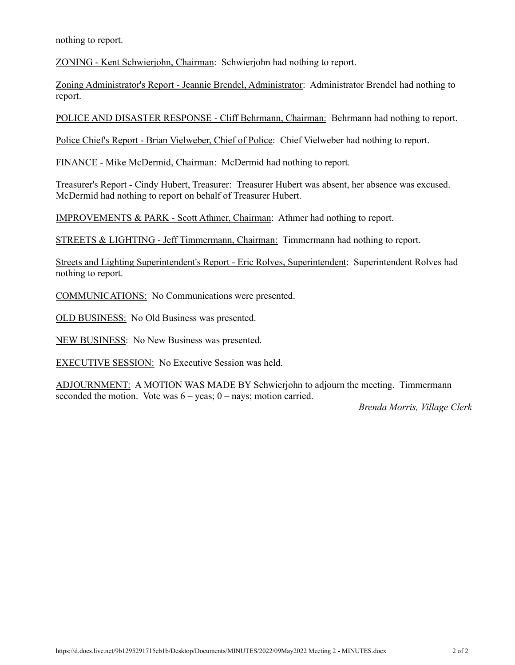nothing to report.

ZONING - Kent Schwierjohn, Chairman: Schwierjohn had nothing to report.

Zoning Administrator's Report - Jeannie Brendel, Administrator: Administrator Brendel had nothing to report.

POLICE AND DISASTER RESPONSE - Cliff Behrmann, Chairman: Behrmann had nothing to report.

Police Chief's Report - Brian Vielweber, Chief of Police: Chief Vielweber had nothing to report.

FINANCE - Mike McDermid, Chairman: McDermid had nothing to report.

Treasurer's Report - Cindy Hubert, Treasurer: Treasurer Hubert was absent, her absence was excused. McDermid had nothing to report on behalf of Treasurer Hubert.

IMPROVEMENTS & PARK - Scott Athmer, Chairman: Athmer had nothing to report.

STREETS & LIGHTING - Jeff Timmermann, Chairman: Timmermann had nothing to report.

Streets and Lighting Superintendent's Report - Eric Rolves, Superintendent: Superintendent Rolves had nothing to report.

COMMUNICATIONS: No Communications were presented.

OLD BUSINESS: No Old Business was presented.

NEW BUSINESS: No New Business was presented.

EXECUTIVE SESSION: No Executive Session was held.

ADJOURNMENT: A MOTION WAS MADE BY Schwierjohn to adjourn the meeting. Timmermann seconded the motion. Vote was  $6 - \text{years}$ ; 0 – nays; motion carried.

*Brenda Morris, Village Clerk*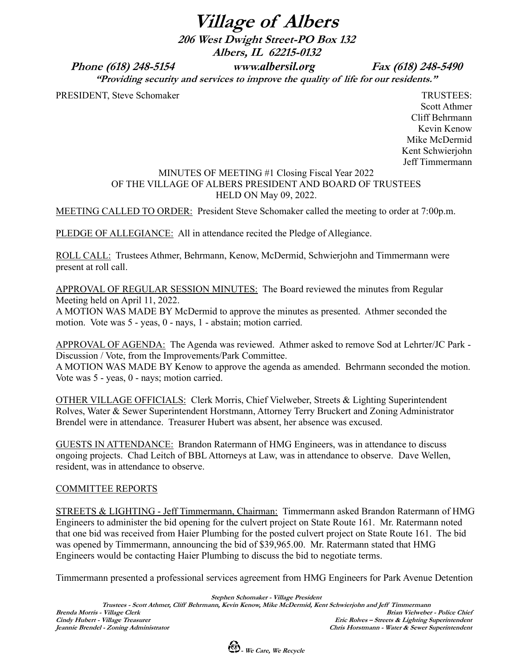**Village of Albers**

**206 West Dwight Street-PO Box 132 Albers, IL 62215-0132**

**Phone (618) 248-5154 www.***albersil.org* **Fax (618) 248-5490**

**"Providing security and services to improve the quality of life for our residents."**

PRESIDENT, Steve Schomaker TRUSTEES:

Scott Athmer Cliff Behrmann Kevin Kenow Mike McDermid Kent Schwierjohn Jeff Timmermann

# MINUTES OF MEETING #1 Closing Fiscal Year 2022 OF THE VILLAGE OF ALBERS PRESIDENT AND BOARD OF TRUSTEES HELD ON May 09, 2022.

MEETING CALLED TO ORDER: President Steve Schomaker called the meeting to order at 7:00p.m.

PLEDGE OF ALLEGIANCE: All in attendance recited the Pledge of Allegiance.

ROLL CALL: Trustees Athmer, Behrmann, Kenow, McDermid, Schwierjohn and Timmermann were present at roll call.

APPROVAL OF REGULAR SESSION MINUTES: The Board reviewed the minutes from Regular Meeting held on April 11, 2022.

A MOTION WAS MADE BY McDermid to approve the minutes as presented. Athmer seconded the motion. Vote was 5 - yeas, 0 - nays, 1 - abstain; motion carried.

APPROVAL OF AGENDA: The Agenda was reviewed. Athmer asked to remove Sod at Lehrter/JC Park - Discussion / Vote, from the Improvements/Park Committee.

A MOTION WAS MADE BY Kenow to approve the agenda as amended. Behrmann seconded the motion. Vote was 5 - yeas, 0 - nays; motion carried.

OTHER VILLAGE OFFICIALS: Clerk Morris, Chief Vielweber, Streets & Lighting Superintendent Rolves, Water & Sewer Superintendent Horstmann, Attorney Terry Bruckert and Zoning Administrator Brendel were in attendance. Treasurer Hubert was absent, her absence was excused.

GUESTS IN ATTENDANCE: Brandon Ratermann of HMG Engineers, was in attendance to discuss ongoing projects. Chad Leitch of BBL Attorneys at Law, was in attendance to observe. Dave Wellen, resident, was in attendance to observe.

# COMMITTEE REPORTS

STREETS & LIGHTING - Jeff Timmermann, Chairman: Timmermann asked Brandon Ratermann of HMG Engineers to administer the bid opening for the culvert project on State Route 161. Mr. Ratermann noted that one bid was received from Haier Plumbing for the posted culvert project on State Route 161. The bid was opened by Timmermann, announcing the bid of \$39,965.00. Mr. Ratermann stated that HMG Engineers would be contacting Haier Plumbing to discuss the bid to negotiate terms.

Timmermann presented a professional services agreement from HMG Engineers for Park Avenue Detention

**Stephen Schomaker - Village President Trustees - Scott Athmer, Cliff Behrmann, Kevin Kenow, Mike McDermid, Kent Schwierjohn and Jeff Timmermann**  $B$ rian Vielweber - Police Chief **Cindy Hubert - Village Treasurer Eric Rolves – Streets & Lighting Superintendent Jeannie Brendel - Zoning Administrator Chris Horstmann - Water & Sewer Superintendent**

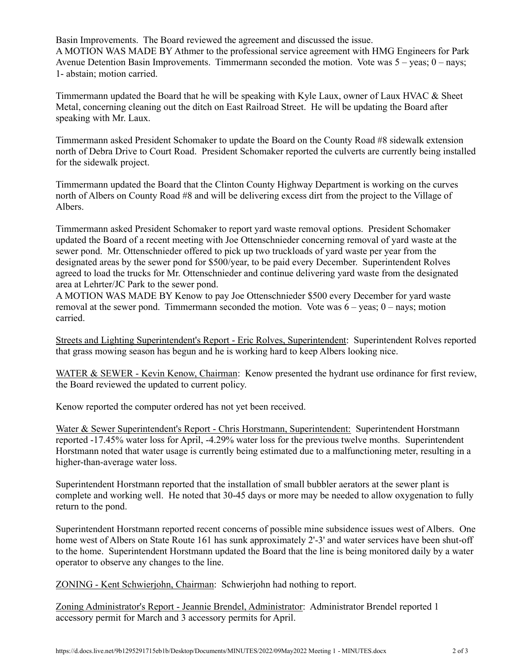Basin Improvements. The Board reviewed the agreement and discussed the issue. A MOTION WAS MADE BY Athmer to the professional service agreement with HMG Engineers for Park Avenue Detention Basin Improvements. Timmermann seconded the motion. Vote was 5 – yeas; 0 – nays; 1- abstain; motion carried.

Timmermann updated the Board that he will be speaking with Kyle Laux, owner of Laux HVAC & Sheet Metal, concerning cleaning out the ditch on East Railroad Street. He will be updating the Board after speaking with Mr. Laux.

Timmermann asked President Schomaker to update the Board on the County Road #8 sidewalk extension north of Debra Drive to Court Road. President Schomaker reported the culverts are currently being installed for the sidewalk project.

Timmermann updated the Board that the Clinton County Highway Department is working on the curves north of Albers on County Road #8 and will be delivering excess dirt from the project to the Village of Albers.

Timmermann asked President Schomaker to report yard waste removal options. President Schomaker updated the Board of a recent meeting with Joe Ottenschnieder concerning removal of yard waste at the sewer pond. Mr. Ottenschnieder offered to pick up two truckloads of yard waste per year from the designated areas by the sewer pond for \$500/year, to be paid every December. Superintendent Rolves agreed to load the trucks for Mr. Ottenschnieder and continue delivering yard waste from the designated area at Lehrter/JC Park to the sewer pond.

A MOTION WAS MADE BY Kenow to pay Joe Ottenschnieder \$500 every December for yard waste removal at the sewer pond. Timmermann seconded the motion. Vote was  $6 - \text{years}$ ;  $0 - \text{rays}$ ; motion carried.

Streets and Lighting Superintendent's Report - Eric Rolves, Superintendent: Superintendent Rolves reported that grass mowing season has begun and he is working hard to keep Albers looking nice.

WATER & SEWER - Kevin Kenow, Chairman: Kenow presented the hydrant use ordinance for first review, the Board reviewed the updated to current policy.

Kenow reported the computer ordered has not yet been received.

Water & Sewer Superintendent's Report - Chris Horstmann, Superintendent: Superintendent Horstmann reported -17.45% water loss for April, -4.29% water loss for the previous twelve months. Superintendent Horstmann noted that water usage is currently being estimated due to a malfunctioning meter, resulting in a higher-than-average water loss.

Superintendent Horstmann reported that the installation of small bubbler aerators at the sewer plant is complete and working well. He noted that 30-45 days or more may be needed to allow oxygenation to fully return to the pond.

Superintendent Horstmann reported recent concerns of possible mine subsidence issues west of Albers. One home west of Albers on State Route 161 has sunk approximately 2'-3' and water services have been shut-off to the home. Superintendent Horstmann updated the Board that the line is being monitored daily by a water operator to observe any changes to the line.

ZONING - Kent Schwierjohn, Chairman: Schwierjohn had nothing to report.

Zoning Administrator's Report - Jeannie Brendel, Administrator: Administrator Brendel reported 1 accessory permit for March and 3 accessory permits for April.